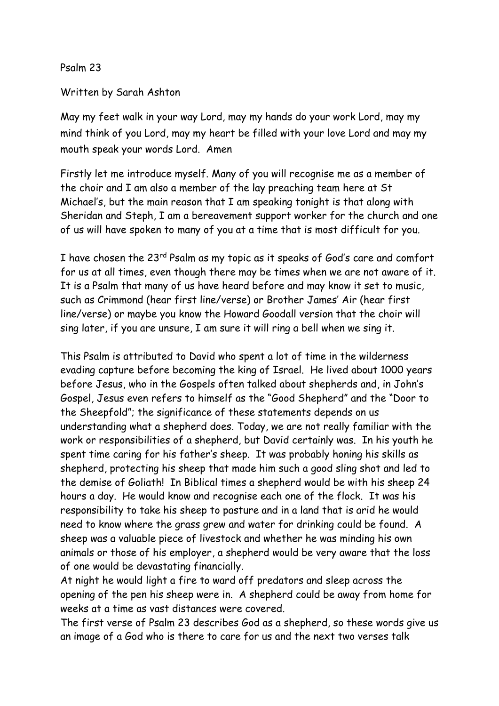Psalm 23

Written by Sarah Ashton

May my feet walk in your way Lord, may my hands do your work Lord, may my mind think of you Lord, may my heart be filled with your love Lord and may my mouth speak your words Lord. Amen

Firstly let me introduce myself. Many of you will recognise me as a member of the choir and I am also a member of the lay preaching team here at St Michael's, but the main reason that I am speaking tonight is that along with Sheridan and Steph, I am a bereavement support worker for the church and one of us will have spoken to many of you at a time that is most difficult for you.

I have chosen the 23<sup>rd</sup> Psalm as my topic as it speaks of God's care and comfort for us at all times, even though there may be times when we are not aware of it. It is a Psalm that many of us have heard before and may know it set to music, such as Crimmond (hear first line/verse) or Brother James' Air (hear first line/verse) or maybe you know the Howard Goodall version that the choir will sing later, if you are unsure, I am sure it will ring a bell when we sing it.

This Psalm is attributed to David who spent a lot of time in the wilderness evading capture before becoming the king of Israel. He lived about 1000 years before Jesus, who in the Gospels often talked about shepherds and, in John's Gospel, Jesus even refers to himself as the "Good Shepherd" and the "Door to the Sheepfold"; the significance of these statements depends on us understanding what a shepherd does. Today, we are not really familiar with the work or responsibilities of a shepherd, but David certainly was. In his youth he spent time caring for his father's sheep. It was probably honing his skills as shepherd, protecting his sheep that made him such a good sling shot and led to the demise of Goliath! In Biblical times a shepherd would be with his sheep 24 hours a day. He would know and recognise each one of the flock. It was his responsibility to take his sheep to pasture and in a land that is arid he would need to know where the grass grew and water for drinking could be found. A sheep was a valuable piece of livestock and whether he was minding his own animals or those of his employer, a shepherd would be very aware that the loss of one would be devastating financially.

At night he would light a fire to ward off predators and sleep across the opening of the pen his sheep were in. A shepherd could be away from home for weeks at a time as vast distances were covered.

The first verse of Psalm 23 describes God as a shepherd, so these words give us an image of a God who is there to care for us and the next two verses talk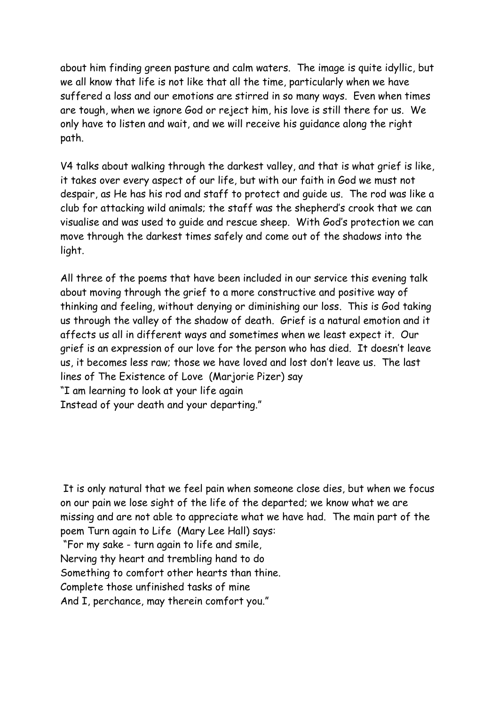about him finding green pasture and calm waters. The image is quite idyllic, but we all know that life is not like that all the time, particularly when we have suffered a loss and our emotions are stirred in so many ways. Even when times are tough, when we ignore God or reject him, his love is still there for us. We only have to listen and wait, and we will receive his guidance along the right path.

V4 talks about walking through the darkest valley, and that is what grief is like, it takes over every aspect of our life, but with our faith in God we must not despair, as He has his rod and staff to protect and guide us. The rod was like a club for attacking wild animals; the staff was the shepherd's crook that we can visualise and was used to guide and rescue sheep. With God's protection we can move through the darkest times safely and come out of the shadows into the light.

All three of the poems that have been included in our service this evening talk about moving through the grief to a more constructive and positive way of thinking and feeling, without denying or diminishing our loss. This is God taking us through the valley of the shadow of death. Grief is a natural emotion and it affects us all in different ways and sometimes when we least expect it. Our grief is an expression of our love for the person who has died. It doesn't leave us, it becomes less raw; those we have loved and lost don't leave us. The last lines of The Existence of Love (Marjorie Pizer) say "I am learning to look at your life again Instead of your death and your departing."

It is only natural that we feel pain when someone close dies, but when we focus on our pain we lose sight of the life of the departed; we know what we are missing and are not able to appreciate what we have had. The main part of the poem Turn again to Life (Mary Lee Hall) says:

"For my sake - turn again to life and smile, Nerving thy heart and trembling hand to do Something to comfort other hearts than thine. Complete those unfinished tasks of mine And I, perchance, may therein comfort you."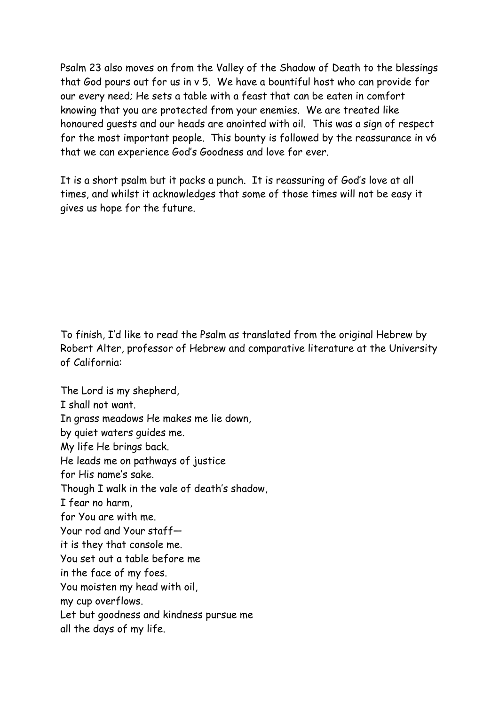Psalm 23 also moves on from the Valley of the Shadow of Death to the blessings that God pours out for us in v 5. We have a bountiful host who can provide for our every need; He sets a table with a feast that can be eaten in comfort knowing that you are protected from your enemies. We are treated like honoured guests and our heads are anointed with oil. This was a sign of respect for the most important people. This bounty is followed by the reassurance in v6 that we can experience God's Goodness and love for ever.

It is a short psalm but it packs a punch. It is reassuring of God's love at all times, and whilst it acknowledges that some of those times will not be easy it gives us hope for the future.

To finish, I'd like to read the Psalm as translated from the original Hebrew by Robert Alter, professor of Hebrew and comparative literature at the University of California:

The Lord is my shepherd, I shall not want. In grass meadows He makes me lie down, by quiet waters guides me. My life He brings back. He leads me on pathways of justice for His name's sake. Though I walk in the vale of death's shadow, I fear no harm, for You are with me. Your rod and Your staff it is they that console me. You set out a table before me in the face of my foes. You moisten my head with oil, my cup overflows. Let but goodness and kindness pursue me all the days of my life.